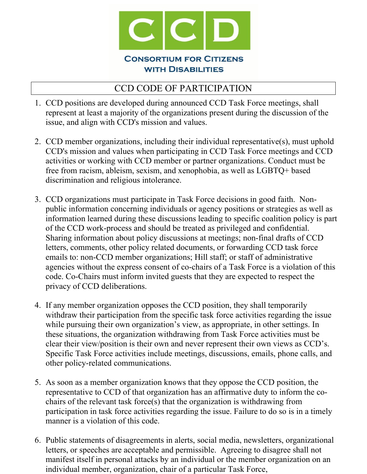

## CCD CODE OF PARTICIPATION

- 1. CCD positions are developed during announced CCD Task Force meetings, shall represent at least a majority of the organizations present during the discussion of the issue, and align with CCD's mission and values.
- 2. CCD member organizations, including their individual representative(s), must uphold CCD's mission and values when participating in CCD Task Force meetings and CCD activities or working with CCD member or partner organizations. Conduct must be free from racism, ableism, sexism, and xenophobia, as well as LGBTQ+ based discrimination and religious intolerance.
- 3. CCD organizations must participate in Task Force decisions in good faith. Nonpublic information concerning individuals or agency positions or strategies as well as information learned during these discussions leading to specific coalition policy is part of the CCD work-process and should be treated as privileged and confidential. Sharing information about policy discussions at meetings; non-final drafts of CCD letters, comments, other policy related documents, or forwarding CCD task force emails to: non-CCD member organizations; Hill staff; or staff of administrative agencies without the express consent of co-chairs of a Task Force is a violation of this code. Co-Chairs must inform invited guests that they are expected to respect the privacy of CCD deliberations.
- 4. If any member organization opposes the CCD position, they shall temporarily withdraw their participation from the specific task force activities regarding the issue while pursuing their own organization's view, as appropriate, in other settings. In these situations, the organization withdrawing from Task Force activities must be clear their view/position is their own and never represent their own views as CCD's. Specific Task Force activities include meetings, discussions, emails, phone calls, and other policy-related communications.
- 5. As soon as a member organization knows that they oppose the CCD position, the representative to CCD of that organization has an affirmative duty to inform the cochairs of the relevant task force(s) that the organization is withdrawing from participation in task force activities regarding the issue. Failure to do so is in a timely manner is a violation of this code.
- 6. Public statements of disagreements in alerts, social media, newsletters, organizational letters, or speeches are acceptable and permissible. Agreeing to disagree shall not manifest itself in personal attacks by an individual or the member organization on an individual member, organization, chair of a particular Task Force,